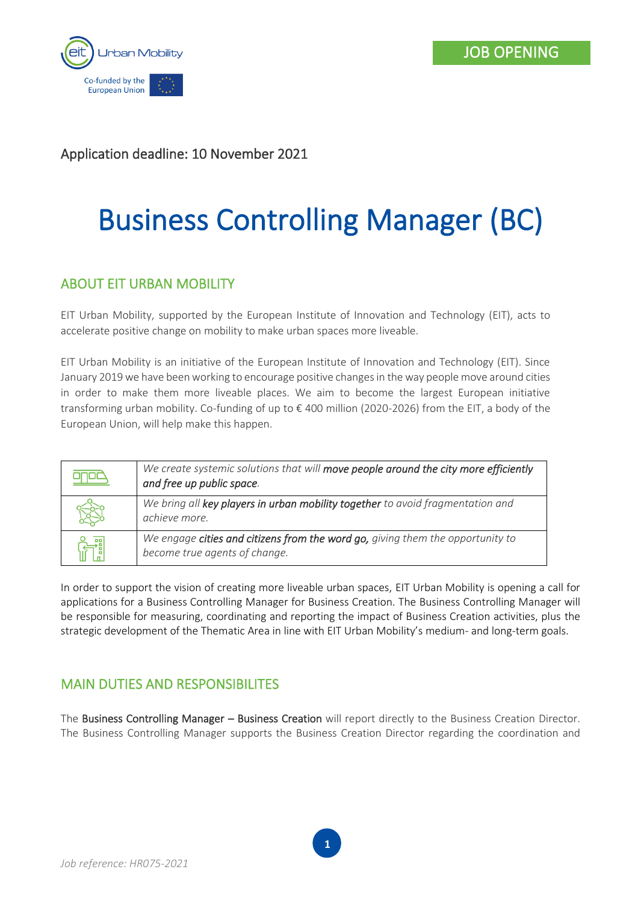

# Application deadline: 10 November 2021

# Business Controlling Manager (BC)

## ABOUT EIT URBAN MOBILITY

EIT Urban Mobility, supported by the European Institute of Innovation and Technology (EIT), acts to accelerate positive change on mobility to make urban spaces more liveable.

EIT Urban Mobility is an initiative of the European Institute of Innovation and Technology (EIT). Since January 2019 we have been working to encourage positive changes in the way people move around cities in order to make them more liveable places. We aim to become the largest European initiative transforming urban mobility. Co-funding of up to € 400 million (2020-2026) from the EIT, a body of the European Union, will help make this happen.

| We create systemic solutions that will move people around the city more efficiently<br>and free up public space. |
|------------------------------------------------------------------------------------------------------------------|
| We bring all key players in urban mobility together to avoid fragmentation and<br>achieve more.                  |
| We engage cities and citizens from the word go, giving them the opportunity to<br>become true agents of change.  |

In order to support the vision of creating more liveable urban spaces, EIT Urban Mobility is opening a call for applications for a Business Controlling Manager for Business Creation. The Business Controlling Manager will be responsible for measuring, coordinating and reporting the impact of Business Creation activities, plus the strategic development of the Thematic Area in line with EIT Urban Mobility's medium- and long-term goals.

## MAIN DUTIES AND RESPONSIBILITES

The Business Controlling Manager – Business Creation will report directly to the Business Creation Director. The Business Controlling Manager supports the Business Creation Director regarding the coordination and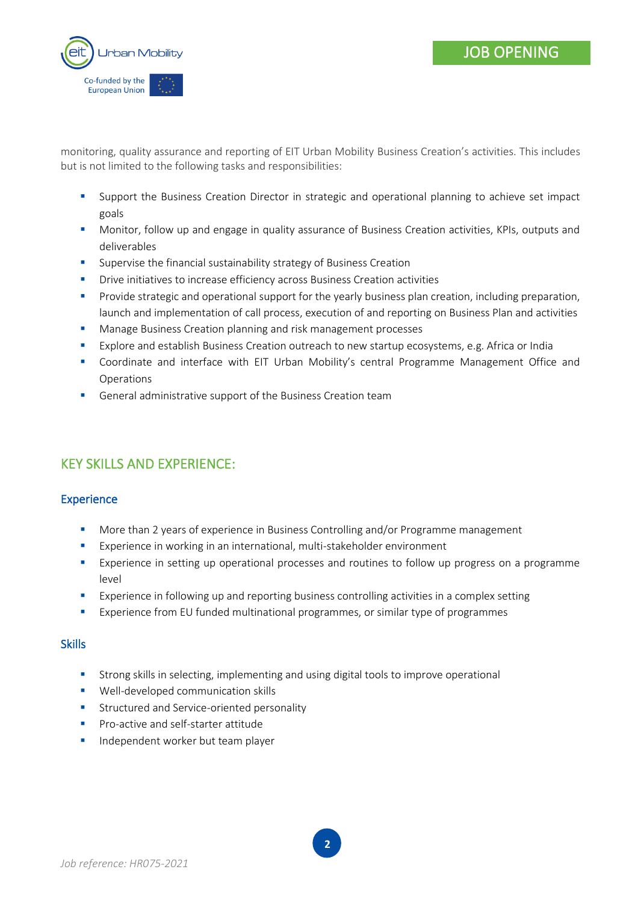

monitoring, quality assurance and reporting of EIT Urban Mobility Business Creation's activities. This includes but is not limited to the following tasks and responsibilities:

- Support the Business Creation Director in strategic and operational planning to achieve set impact goals
- **■** Monitor, follow up and engage in quality assurance of Business Creation activities, KPIs, outputs and deliverables
- Supervise the financial sustainability strategy of Business Creation
- **•** Drive initiatives to increase efficiency across Business Creation activities
- **•** Provide strategic and operational support for the yearly business plan creation, including preparation, launch and implementation of call process, execution of and reporting on Business Plan and activities
- Manage Business Creation planning and risk management processes
- **Explore and establish Business Creation outreach to new startup ecosystems, e.g. Africa or India**
- Coordinate and interface with EIT Urban Mobility's central Programme Management Office and Operations
- General administrative support of the Business Creation team

# KEY SKILLS AND EXPERIENCE:

#### **Experience**

- More than 2 years of experience in Business Controlling and/or Programme management
- Experience in working in an international, multi-stakeholder environment
- **Experience in setting up operational processes and routines to follow up progress on a programme** level
- **Experience in following up and reporting business controlling activities in a complex setting**
- **Experience from EU funded multinational programmes, or similar type of programmes**

#### **Skills**

- **■** Strong skills in selecting, implementing and using digital tools to improve operational
- Well-developed communication skills
- Structured and Service-oriented personality
- Pro-active and self-starter attitude
- **■** Independent worker but team player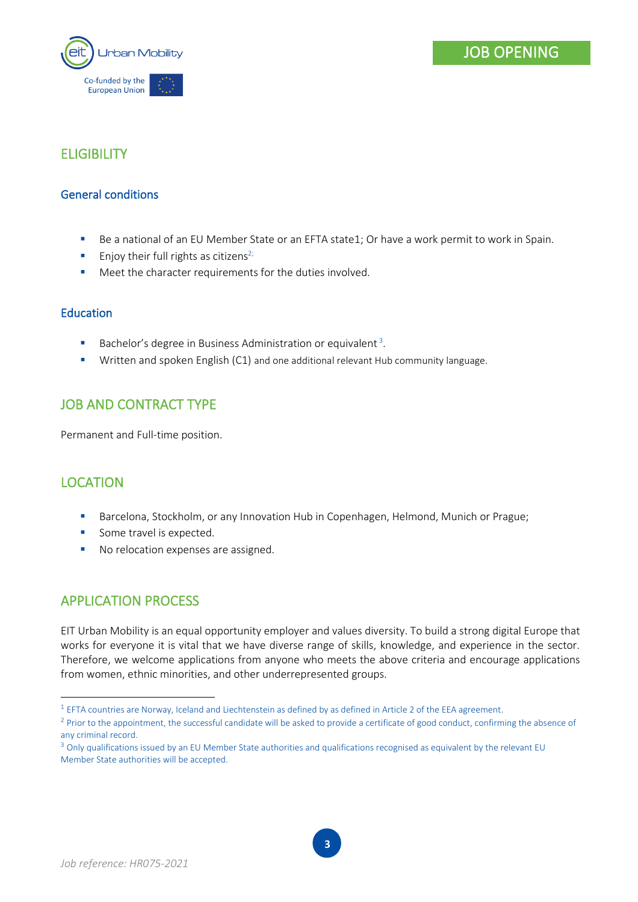

## **ELIGIBILITY**

#### General conditions

- Be a national of an EU Member State or an EFTA state1; Or have a work permit to work in Spain.
- **Enjoy their full rights as citizens**<sup>2;</sup>
- Meet the character requirements for the duties involved.

#### Education

- **Bachelor's degree in Business Administration or equivalent**<sup>3</sup>.
- Written and spoken English (C1) and one additional relevant Hub community language.

## JOB AND CONTRACT TYPE

Permanent and Full-time position.

## LOCATION

- **■** Barcelona, Stockholm, or any Innovation Hub in Copenhagen, Helmond, Munich or Prague;
- **·** Some travel is expected.
- No relocation expenses are assigned.

## APPLICATION PROCESS

EIT Urban Mobility is an equal opportunity employer and values diversity. To build a strong digital Europe that works for everyone it is vital that we have diverse range of skills, knowledge, and experience in the sector. Therefore, we welcome applications from anyone who meets the above criteria and encourage applications from women, ethnic minorities, and other underrepresented groups.

 $^1$  EFTA countries are Norway, Iceland and Liechtenstein as defined by as defined in Article 2 of the EEA agreement.

 $2$  Prior to the appointment, the successful candidate will be asked to provide a certificate of good conduct, confirming the absence of any criminal record.

<sup>&</sup>lt;sup>3</sup> Only qualifications issued by an EU Member State authorities and qualifications recognised as equivalent by the relevant EU Member State authorities will be accepted.